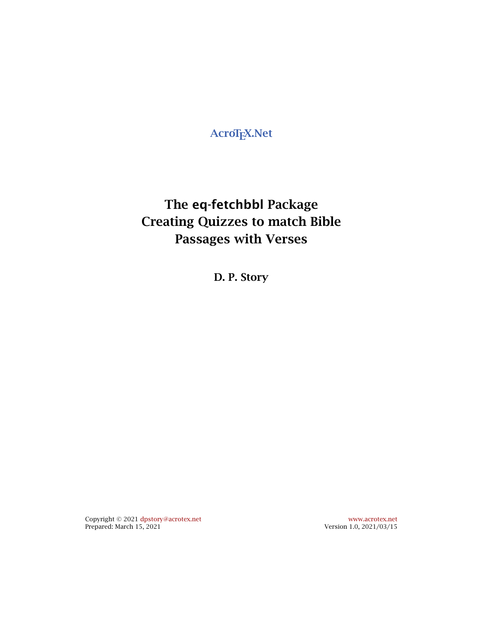**AcroTEX.Net**

# **The eq-fetchbbl Package Creating Quizzes to match Bible Passages with Verses**

**D. P. Story**

Copyright © 2021 [dpstory@acrotex.net](mailto:dpstory@acrotex.net)<www.acrotex.net> Prepared: March 15, 2021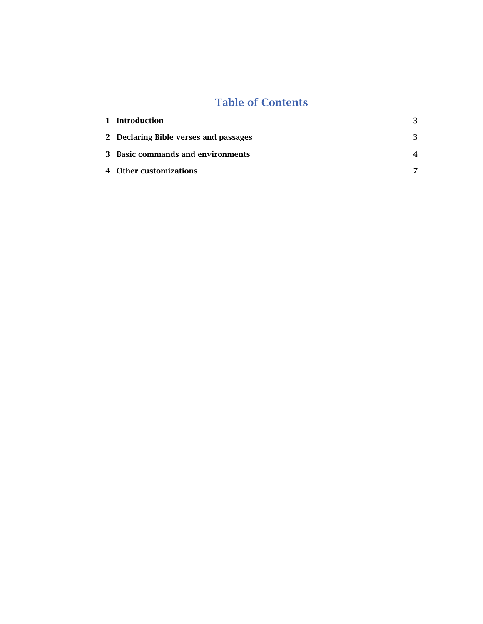# **Table of Contents**

| 1 Introduction                        |  |
|---------------------------------------|--|
| 2 Declaring Bible verses and passages |  |
| 3 Basic commands and environments     |  |
| 4 Other customizations                |  |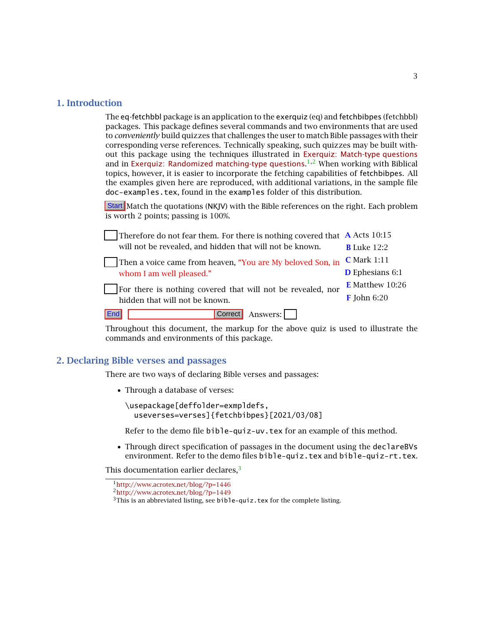### <span id="page-2-0"></span>**1. Introduction**

The eq-fetchbbl package is an application to the exerquiz (eq) and fetchbibpes (fetchbbl) packages. This package defines several commands and two environments that are used to *conveniently* build quizzes that challenges the user to match Bible passages with their corresponding verse references. Technically speaking, such quizzes may be built without this package using the techniques illustrated in [Exerquiz: Match-type questions](http://www.acrotex.net/blog/?p=1446) and in [Exerquiz: Randomized matching-type questions](http://www.acrotex.net/blog/?p=1449).<sup>1,2</sup> When working with Biblical topics, however, it is easier to incorporate the fetching capabilities of fetchbibpes. All the examples given here are reproduced, with additional variations, in the sample file doc-examples.tex, found in the examples folder of this distribution.

Start Match the quotations (NKJV) with the Bible references on the right. Each problem is worth 2 points; passing is 100%.

|     | Therefore do not fear them. For there is nothing covered that $\overline{A}$ Acts 10:15 |                          |
|-----|-----------------------------------------------------------------------------------------|--------------------------|
|     | will not be revealed, and hidden that will not be known.                                | <b>B</b> Luke 12:2       |
|     | Then a voice came from heaven, "You are My beloved Son, in                              | <b>C</b> Mark 1:11       |
|     | whom I am well pleased."                                                                | <b>D</b> Ephesians 6:1   |
|     | For there is nothing covered that will not be revealed, nor                             | <b>E</b> Matthew $10:26$ |
|     | hidden that will not be known.                                                          | $\bf{F}$ John 6:20       |
| End | Answers: 1                                                                              |                          |

Throughout this document, the markup for the above quiz is used to illustrate the commands and environments of this package.

#### **2. Declaring Bible verses and passages**

There are two ways of declaring Bible verses and passages:

- Through a database of verses:
	- \usepackage[deffolder=exmpldefs, useverses=verses]{fetchbibpes}[2021/03/08]

Refer to the demo file bible-quiz-uv.tex for an example of this method.

• Through direct specification of passages in the document using the declareBVs environment. Refer to the demo files bible-quiz.tex and bible-quiz-rt.tex.

This documentation earlier declares.<sup>3</sup>

[<sup>1</sup>http://www.acrotex.net/blog/?p=1446](http://www.acrotex.net/blog/?p=1446)

[<sup>2</sup>http://www.acrotex.net/blog/?p=1449](http://www.acrotex.net/blog/?p=1449)

 $3$ This is an abbreviated listing, see bible-quiz.tex for the complete listing.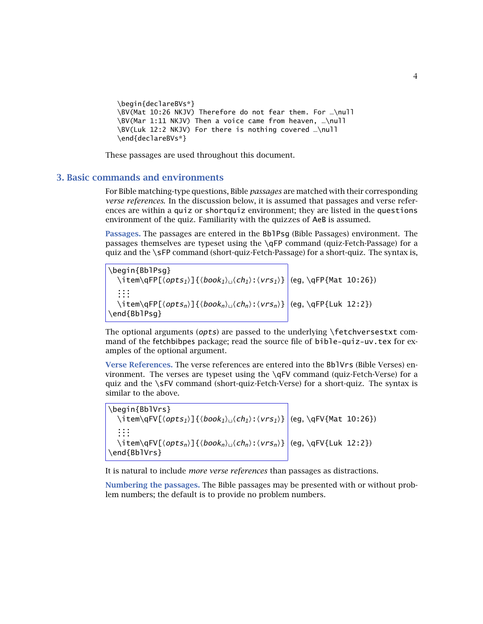```
\begin{declareBVs*}
\BV(Mat 10:26 NKJV) Therefore do not fear them. For …\null
\BV(Mar 1:11 NKJV) Then a voice came from heaven, …\null
\BV(Luk 12:2 NKJV) For there is nothing covered …\null
\end{declareBVs*}
```
These passages are used throughout this document.

#### **3. Basic commands and environments**

For Bible matching-type questions, Bible *passages* are matched with their corresponding *verse references*. In the discussion below, it is assumed that passages and verse references are within a quiz or shortquiz environment; they are listed in the questions environment of the quiz. Familiarity with the quizzes of AeB is assumed.

**Passages.** The passages are entered in the BblPsg (Bible Passages) environment. The passages themselves are typeset using the \qFP command (quiz-Fetch-Passage) for a quiz and the \sFP command (short-quiz-Fetch-Passage) for a short-quiz. The syntax is,

\begin{BblPsg}  $\left\{ \mathsf{opf}\right\} \setminus \mathsf{opf}\right\} \setminus \mathsf{com}\right\} \setminus \mathsf{gen}\right\} \setminus \mathsf{opf}\right\} \setminus \mathsf{com}\right\} \setminus \mathsf{com}\right\} \setminus \mathsf{com}\right\} \setminus \mathsf{com}\right\} \setminus \mathsf{com}\right\} \setminus \mathsf{com}\right\} \setminus \mathsf{com}\right) \setminus \mathsf{com}\right\} \setminus \mathsf{com}\right) \setminus \mathsf{com}\right) \setminus \mathsf{com}\right\} \setminus \mathsf{com}\right) \setminus \mathsf{com}\right\} \setminus \$ ... ... ...  $\left\{ \mathsf{opf}\right\}$  (opts $_{n}\right\}$ ] $\left\{ \mathsf{book}_{n}\right\}$  (vrs $_{n}\right\}$  (eg,  $\mathsf{opf}\left\{ \mathsf{Luk}\right\}$  12:2}) \end{BblPsg}

The optional arguments ( $opts$ ) are passed to the underlying  $\f$ etchversestxt command of the fetchbibpes package; read the source file of bible-quiz-uv.tex for examples of the optional argument.

**Verse References.** The verse references are entered into the BblVrs (Bible Verses) environment. The verses are typeset using the  $\qquad$  CFV command (quiz-Fetch-Verse) for a quiz and the \sFV command (short-quiz-Fetch-Verse) for a short-quiz. The syntax is similar to the above.

\begin{BblVrs} \item\qFV[ $\langle opts_1\rangle$ ]{ $\langle book_1\rangle$ <sub>L</sub> $\langle ch_1\rangle$ : $\langle vrs_1\rangle$ }  $|$ (eg,\qFV{Mat 10:26}) ... ... ...  $\left\{ \mathsf{c}(\mathsf{opts}_n) \right\} \left\{ \mathsf{coh}_n \right\} \left| \left\{ \mathsf{csh}_n \right\} \right|$  (eg,  $\mathsf{c}(\mathsf{Luk} \ 12:2)$ ) \end{BblVrs}

It is natural to include *more verse references* than passages as distractions.

**Numbering the passages.** The Bible passages may be presented with or without problem numbers; the default is to provide no problem numbers.

4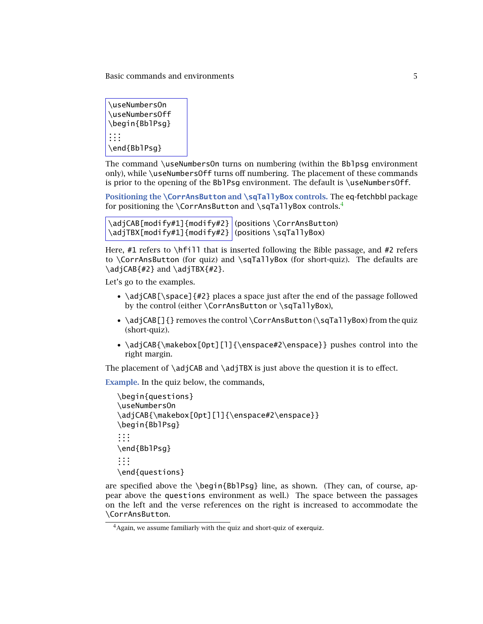Basic commands and environments 5

```
\useNumbersOn
\useNumbersOff
\begin{BblPsg}
...
...
...
\end{BblPsg}
```
The command \useNumbersOn turns on numbering (within the Bblpsg environment only), while \useNumbersOff turns off numbering. The placement of these commands is prior to the opening of the BblPsg environment. The default is  $\useNumbersOff$ .

**Positioning the \CorrAnsButton and \sqTallyBox controls.** The eq-fetchbbl package for positioning the \CorrAnsButton and \sqTallyBox controls.<sup>4</sup>

\adjCAB[modify#1]{modify#2} (positions \CorrAnsButton) \adjTBX[modify#1]{modify#2} (positions \sqTallyBox)

Here,  $#1$  refers to  $\hbar$  il that is inserted following the Bible passage, and  $#2$  refers to \CorrAnsButton (for quiz) and \sqTallyBox (for short-quiz). The defaults are  $\ad{f42}$  and  $\ad{TRX{#2}$ .

Let's go to the examples.

- \adjCAB[\space]{#2} places a space just after the end of the passage followed by the control (either \CorrAnsButton or \sqTallyBox),
- \adjCAB[]{} removes the control \CorrAnsButton (\sqTallyBox) from the quiz (short-quiz).
- \adjCAB{\makebox[0pt][l]{\enspace#2\enspace}} pushes control into the right margin.

The placement of  $\ad{CAB}$  and  $\ad{TBX}$  is just above the question it is to effect.

**Example.** In the quiz below, the commands,

```
\begin{questions}
\useNumbersOn
\adjCAB{\makebox[0pt][l]{\enspace#2\enspace}}
\begin{BblPsg}
...
...
...
\end{BblPsg}
...
...
...
\end{questions}
```
are specified above the \begin{BblPsg} line, as shown. (They can, of course, appear above the questions environment as well.) The space between the passages on the left and the verse references on the right is increased to accommodate the \CorrAnsButton.

 $4$ Again, we assume familiarly with the quiz and short-quiz of exerquiz.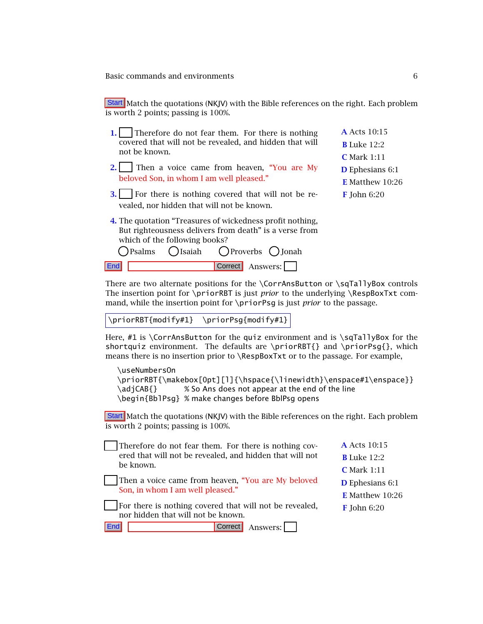Basic commands and environments 6

Start Match the quotations (NKJV) with the Bible references on the right. Each problem is worth 2 points; passing is 100%.

- **1.** Therefore do not fear them. For there is nothing covered that will not be revealed, and hidden that will not be known.
- **2.** Then a voice came from heaven, "You are My beloved Son, in whom I am well pleased."
- **3.** For there is nothing covered that will not be revealed, nor hidden that will not be known.
- **4.** The quotation "Treasures of wickedness profit nothing, But righteousness delivers from death" is a verse from which of the following books?

() Psalms () Isaiah () Proverbs () Ionah End Answers:

**A** Acts 10:15 **B** Luke 12:2 **C** Mark 1:11 **D** Ephesians 6:1 **E** Matthew 10:26 **F** John 6:20

There are two alternate positions for the \CorrAnsButton or \sqTallyBox controls The insertion point for \priorRBT is just *prior* to the underlying \RespBoxTxt command, while the insertion point for \priorPsg is just *prior* to the passage.

```
\priorRBT{modify#1} \priorPsg{modify#1}
```
Here, #1 is  $\CorrAnsBut$ ton for the quiz environment and is  $\sqrt{a}$ TallyBox for the shortquiz environment. The defaults are \priorRBT{} and \priorPsq{}, which means there is no insertion prior to \RespBoxTxt or to the passage. For example,

```
\useNumbersOn
\priorRBT{\makebox[0pt][l]{\hspace{\linewidth}\enspace#1\enspace}}
\adjCAB{} % So Ans does not appear at the end of the line
\begin{BblPsg} % make changes before BblPsg opens
```
Start Match the quotations (NKJV) with the Bible references on the right. Each problem is worth 2 points; passing is 100%.

- Therefore do not fear them. For there is nothing covered that will not be revealed, and hidden that will not be known.
- Then a voice came from heaven, "You are My beloved Son, in whom I am well pleased."
- For there is nothing covered that will not be revealed, nor hidden that will not be known.

```
End Answers:
```
**A** Acts 10:15 **B** Luke 12:2 **C** Mark 1:11 **D** Ephesians 6:1 **E** Matthew 10:26 **F** John 6:20